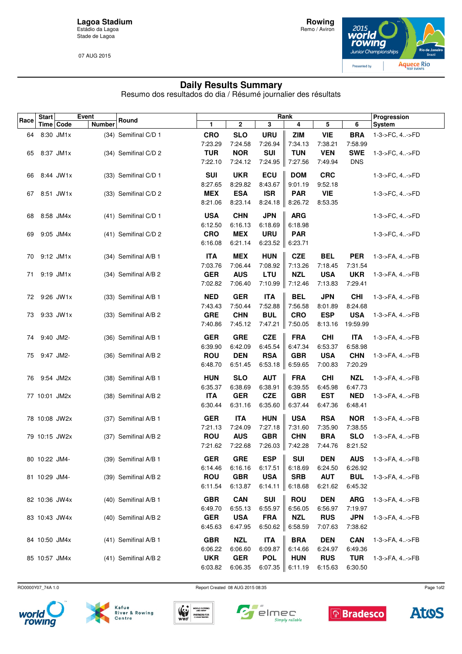**Lagoa Stadium** Estádio da Lagoa Stade de Lagoa

07 AUG 2015



## **Daily Results Summary**

Resumo dos resultados do dia / Résumé journalier des résultats

| Race | <b>Start</b>  |               | Event         | Round                  |                       | Rank                  |                       |                       |                       |                       | Progression        |
|------|---------------|---------------|---------------|------------------------|-----------------------|-----------------------|-----------------------|-----------------------|-----------------------|-----------------------|--------------------|
|      |               | Time   Code   | <b>Number</b> |                        | 1                     | 2                     | 3                     | 4                     | 5                     | 6                     | System             |
| 64   | 8:30 JM1x     |               |               | (34) Semifinal C/D 1   | <b>CRO</b>            | <b>SLO</b>            | <b>URU</b>            | <b>ZIM</b>            | <b>VIE</b>            | <b>BRA</b>            | 1-3->FC, 4->FD     |
|      |               |               |               |                        | 7:23.29               | 7:24.58               | 7:26.94               | 7:34.13               | 7:38.21               | 7:58.99               |                    |
| 65   |               | 8:37 JM1x     |               | (34) Semifinal C/D 2   | <b>TUR</b>            | <b>NOR</b>            | SUI                   | <b>TUN</b>            | <b>VEN</b>            | <b>SWE</b>            | 1-3->FC, 4->FD     |
|      |               |               |               |                        | 7:22.10               | 7:24.12               | 7:24.95               | 7:27.56               | 7:49.94               | <b>DNS</b>            |                    |
| 66   |               | 8:44 JW1x     |               | (33) Semifinal C/D 1   | <b>SUI</b>            | <b>UKR</b>            | ECU                   | <b>DOM</b>            | <b>CRC</b>            |                       | 1-3->FC, 4->FD     |
|      |               |               |               |                        | 8:27.65               | 8:29.82               | 8:43.67               | 9:01.19               | 9:52.18               |                       |                    |
| 67   |               | 8:51 JW1x     |               | (33) Semifinal C/D 2   | <b>MEX</b>            | <b>ESA</b>            | <b>ISR</b>            | <b>PAR</b>            | <b>VIE</b>            |                       | 1-3->FC, 4->FD     |
|      |               |               |               |                        | 8:21.06               | 8:23.14               | 8:24.18               | 8:26.72               | 8:53.35               |                       |                    |
| 68   |               | 8:58 JM4x     |               | (41) Semifinal C/D 1   | <b>USA</b>            | <b>CHN</b>            | <b>JPN</b>            | <b>ARG</b>            |                       |                       | 1-3->FC, 4->FD     |
|      |               |               |               |                        | 6:12.50               | 6:16.13               | 6:18.69               | 6:18.98               |                       |                       |                    |
| 69   |               | 9:05 JM4x     |               | (41) Semifinal C/D 2   | <b>CRO</b>            | <b>MEX</b>            | <b>URU</b>            | <b>PAR</b>            |                       |                       | 1-3->FC, 4->FD     |
|      |               |               |               |                        | 6:16.08               | 6:21.14               | 6:23.52               | 6:23.71               |                       |                       |                    |
| 70   | 9:12 JM1x     |               |               | (34) Semifinal A/B 1   | <b>ITA</b>            | <b>MEX</b>            | <b>HUN</b>            | <b>CZE</b>            | <b>BEL</b>            | <b>PER</b>            | 1-3->FA, 4->FB     |
|      |               |               |               |                        | 7:03.76               | 7:06.44               | 7:08.92               | 7:13.26               | 7:18.45               | 7:31.54               |                    |
| 71   | 9:19 JM1x     |               |               | (34) Semifinal A/B 2   | <b>GER</b>            | <b>AUS</b>            | <b>LTU</b>            | <b>NZL</b>            | <b>USA</b>            | <b>UKR</b>            | 1-3->FA, 4->FB     |
|      |               |               |               |                        | 7:02.82               | 7:06.40               | 7:10.99               | 7:12.46               | 7:13.83               | 7:29.41               |                    |
|      |               | 72 9:26 JW1x  |               | (33) Semifinal A/B 1   | <b>NED</b>            | <b>GER</b>            | <b>ITA</b>            | <b>BEL</b>            | <b>JPN</b>            | <b>CHI</b>            | 1-3->FA, 4->FB     |
|      |               |               |               |                        | 7:43.43               | 7:50.44               | 7:52.88               | 7:56.58               | 8:01.89               | 8:24.68               |                    |
| 73   |               | 9:33 JW1x     |               | (33) Semifinal A/B 2   | <b>GRE</b>            | <b>CHN</b>            | <b>BUL</b>            | <b>CRO</b>            | <b>ESP</b>            | <b>USA</b>            | 1-3->FA, 4->FB     |
|      |               |               |               |                        | 7:40.86               | 7:45.12               | 7:47.21               | 7:50.05               | 8:13.16               | 19:59.99              |                    |
|      | 9:40 JM2-     |               |               |                        | <b>GER</b>            | <b>GRE</b>            | <b>CZE</b>            | <b>FRA</b>            | <b>CHI</b>            | <b>ITA</b>            |                    |
| 74   |               |               |               | (36) Semifinal A/B 1   | 6:39.90               | 6:42.09               | 6:45.54               | 6:47.34               | 6:53.37               | 6:58.98               | 1-3->FA, 4->FB     |
| 75   | 9:47 JM2-     |               |               | (36) Semifinal A/B 2   | <b>ROU</b>            | <b>DEN</b>            | <b>RSA</b>            | <b>GBR</b>            | <b>USA</b>            | <b>CHN</b>            | 1-3->FA, 4->FB     |
|      |               |               |               |                        | 6:48.70               | 6:51.45               | 6:53.18               | 6:59.65               | 7:00.83               | 7:20.29               |                    |
|      |               |               |               |                        |                       |                       |                       |                       |                       |                       |                    |
| 76   | 9:54 JM2x     |               |               | (38) Semifinal A/B 1   | <b>HUN</b><br>6:35.37 | <b>SLO</b><br>6:38.69 | <b>AUT</b><br>6:38.91 | <b>FRA</b><br>6:39.55 | <b>CHI</b><br>6:45.98 | <b>NZL</b><br>6:47.73 | 1-3->FA, 4->FB     |
|      | 77 10:01 JM2x |               |               | (38) Semifinal A/B 2   | <b>ITA</b>            | <b>GER</b>            | <b>CZE</b>            | <b>GBR</b>            | <b>EST</b>            | <b>NED</b>            | 1-3->FA, 4->FB     |
|      |               |               |               |                        | 6:30.44               | 6:31.16               | 6:35.60               | 6:37.44               | 6:47.36               | 6:48.41               |                    |
|      |               |               |               |                        |                       |                       |                       |                       |                       |                       |                    |
|      |               | 78 10:08 JW2x |               | (37) Semifinal A/B 1   | <b>GER</b>            | <b>ITA</b>            | <b>HUN</b>            | <b>USA</b>            | <b>RSA</b>            | <b>NOR</b>            | 1-3->FA, 4->FB     |
|      |               | 79 10:15 JW2x |               |                        | 7:21.13<br><b>ROU</b> | 7:24.09<br><b>AUS</b> | 7:27.18<br><b>GBR</b> | 7:31.60               | 7:35.90<br><b>BRA</b> | 7:38.55<br><b>SLO</b> |                    |
|      |               |               |               | (37) Semifinal A/B 2   | 7:21.62               | 7:22.68               | 7:26.03               | <b>CHN</b><br>7:42.28 | 7:44.76               | 8:21.52               | 1-3->FA, 4->FB     |
|      |               |               |               |                        |                       |                       |                       |                       |                       |                       |                    |
|      | 80 10:22 JM4- |               |               | (39) Semifinal A/B 1   | <b>GER</b>            | <b>GRE</b>            |                       |                       | <b>DEN</b>            |                       | AUS 1-3->FA, 4->FB |
|      |               |               |               |                        | 6:14.46               | 6:16.16               | 6:17.51               | 6:18.69               | 6:24.50               | 6:26.92               |                    |
|      | 81 10:29 JM4- |               |               | (39) Semifinal A/B 2   | <b>ROU</b>            | <b>GBR</b>            | <b>USA</b>            | <b>SRB</b>            | <b>AUT</b>            | <b>BUL</b>            | 1-3->FA, 4->FB     |
|      |               |               |               |                        | 6:11.54               | 6:13.87               | 6:14.11               | 6:18.68               | 6:21.62               | 6:45.32               |                    |
|      |               | 82 10:36 JW4x |               | (40) Semifinal A/B 1   | <b>GBR</b>            | <b>CAN</b>            | <b>SUI</b>            | <b>ROU</b>            | <b>DEN</b>            | <b>ARG</b>            | 1-3->FA, 4->FB     |
|      |               |               |               |                        | 6:49.70               | 6:55.13               | 6:55.97               | 6:56.05               | 6:56.97               | 7:19.97               |                    |
|      |               | 83 10:43 JW4x |               | $(40)$ Semifinal A/B 2 | <b>GER</b>            | <b>USA</b>            | <b>FRA</b>            | <b>NZL</b>            | <b>RUS</b>            | <b>JPN</b>            | 1-3->FA, 4->FB     |
|      |               |               |               |                        | 6:45.63               | 6:47.95               | 6:50.62               | 6:58.59               | 7:07.63               | 7:38.62               |                    |
|      | 84 10:50 JM4x |               |               | (41) Semifinal A/B 1   | <b>GBR</b>            | <b>NZL</b>            | <b>ITA</b>            | <b>BRA</b>            | <b>DEN</b>            | <b>CAN</b>            | 1-3->FA, 4->FB     |
|      |               |               |               |                        | 6:06.22               | 6:06.60               | 6:09.87               | 6:14.66               | 6:24.97               | 6:49.36               |                    |
|      | 85 10:57 JM4x |               |               | $(41)$ Semifinal A/B 2 | <b>UKR</b>            | <b>GER</b>            | <b>POL</b>            | <b>HUN</b>            | <b>RUS</b>            | <b>TUR</b>            | 1-3->FA, 4->FB     |
|      |               |               |               |                        | 6:03.82               | 6:06.35               |                       | 6:07.35 $\ $ 6:11.19  | 6:15.63               | 6:30.50               |                    |

RO0000Y07\_74A 1.0 Report Created 08 AUG 2015 08:35







 $\blacksquare$  $\sqrt{ }$  elmec Simply reliable





Page 1of2